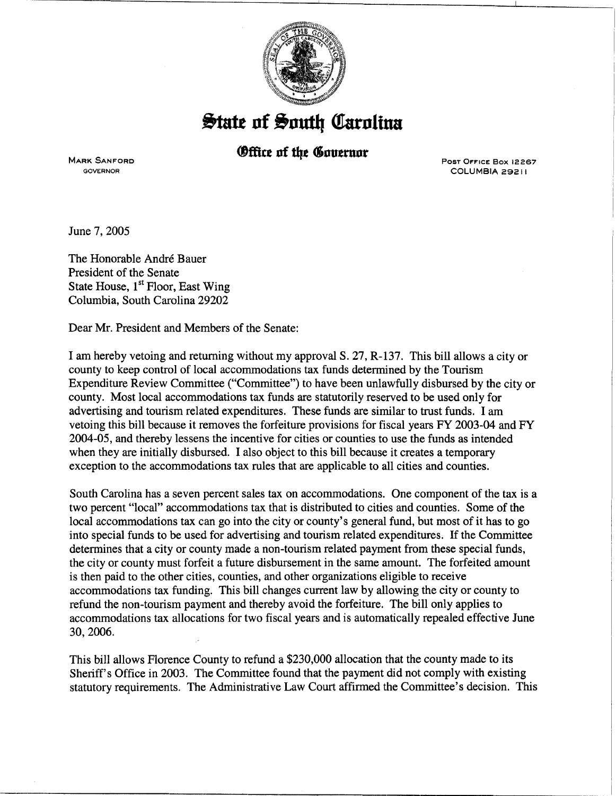

## **State of South Carolina**

*<u>Office of the Governor</u>* 

MARK SANFORD GOVERNOR

PosT OFFICE Box 12267 COLUMBIA 29211

June 7, 2005

The Honorable André Bauer President of the Senate State House, 1<sup>st</sup> Floor, East Wing Columbia, South Carolina 29202

Dear Mr. President and Members of the Senate:

I am hereby vetoing and returning without my approval S. 27, R-137. This bill allows a city or county to keep control of local accommodations tax funds determined by the Tourism Expenditure Review Committee ("Committee") to have been unlawfully disbursed by the city or county. Most local accommodations tax funds are statutorily reserved to be used only for advertising and tourism related expenditures. These funds are similar to trust funds. I am vetoing this bill because it removes the forfeiture provisions for fiscal years FY 2003-04 and FY 2004-05, and thereby lessens the incentive for cities or counties to use the funds as intended when they are initially disbursed. I also object to this bill because it creates a temporary exception to the accommodations tax rules that are applicable to all cities and counties.

South Carolina has a seven percent sales tax on accommodations. One component of the tax is a two percent "local" accommodations tax that is distributed to cities and counties. Some of the local accommodations tax can go into the city or county's general fund, but most of it has to go into special funds to be used for advertising and tourism related expenditures. If the Committee determines that a city or county made a non-tourism related payment from these special funds, the city or county must forfeit a future disbursement in the same amount. The forfeited amount is then paid to the other cities, counties, and other organizations eligible to receive accommodations tax funding. This bill changes current law by allowing the city or county to refund the non-tourism payment and thereby avoid the forfeiture. The bill only applies to accommodations tax allocations for two fiscal years and is automatically repealed effective June 30,2006.

This bill allows Florence County to refund a \$230,000 allocation that the county made to its Sheriff's Office in 2003. The Committee found that the payment did not comply with existing statutory requirements. The Administrative Law Court affirmed the Committee's decision. This